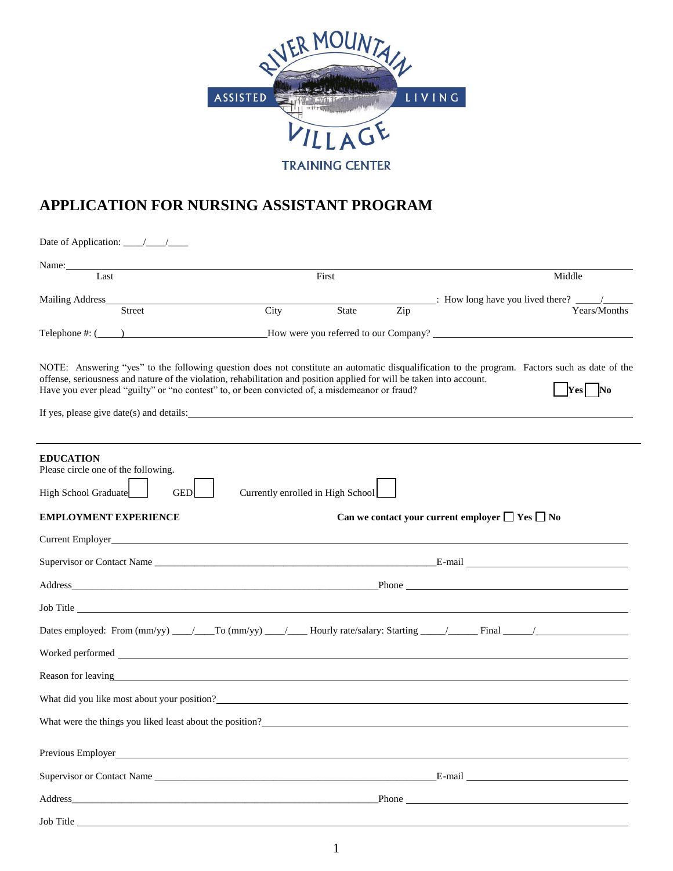

## **APPLICATION FOR NURSING ASSISTANT PROGRAM**

| Name:<br>Last                                                                   |                                                          |                                                                                                                                                                                                                                                                     | First        |                  | Middle                                                                                                                                                           |  |  |
|---------------------------------------------------------------------------------|----------------------------------------------------------|---------------------------------------------------------------------------------------------------------------------------------------------------------------------------------------------------------------------------------------------------------------------|--------------|------------------|------------------------------------------------------------------------------------------------------------------------------------------------------------------|--|--|
| Mailing Address_                                                                | <b>Street</b>                                            | $\overline{City}$                                                                                                                                                                                                                                                   | <b>State</b> | $\overline{Zip}$ | Years/Months                                                                                                                                                     |  |  |
|                                                                                 |                                                          |                                                                                                                                                                                                                                                                     |              |                  | Telephone #: ( ) Mow were you referred to our Company?                                                                                                           |  |  |
|                                                                                 |                                                          | offense, seriousness and nature of the violation, rehabilitation and position applied for will be taken into account.<br>Have you ever plead "guilty" or "no contest" to, or been convicted of, a misdemeanor or fraud?<br>If yes, please give date(s) and details: |              |                  | NOTE: Answering "yes" to the following question does not constitute an automatic disqualification to the program. Factors such as date of the<br>$\bf Yes$<br>No |  |  |
| <b>EDUCATION</b><br>Please circle one of the following.<br>High School Graduate | <b>GED</b>                                               | Currently enrolled in High School                                                                                                                                                                                                                                   |              |                  |                                                                                                                                                                  |  |  |
|                                                                                 | <b>EMPLOYMENT EXPERIENCE</b>                             |                                                                                                                                                                                                                                                                     |              |                  | Can we contact your current employer $\Box$ Yes $\Box$ No                                                                                                        |  |  |
|                                                                                 |                                                          | Current Employer and the contract of the contract of the contract of the contract of the contract of the contract of the contract of the contract of the contract of the contract of the contract of the contract of the contr                                      |              |                  |                                                                                                                                                                  |  |  |
|                                                                                 |                                                          |                                                                                                                                                                                                                                                                     |              |                  |                                                                                                                                                                  |  |  |
|                                                                                 |                                                          |                                                                                                                                                                                                                                                                     |              |                  |                                                                                                                                                                  |  |  |
|                                                                                 |                                                          |                                                                                                                                                                                                                                                                     |              |                  |                                                                                                                                                                  |  |  |
|                                                                                 |                                                          |                                                                                                                                                                                                                                                                     |              |                  |                                                                                                                                                                  |  |  |
|                                                                                 |                                                          |                                                                                                                                                                                                                                                                     |              |                  |                                                                                                                                                                  |  |  |
|                                                                                 |                                                          | Reason for leaving<br><u>example and the contract of the contract of the contract of the contract of the contract of the contract of the contract of the contract of the contract of the contract of the contract of the contract </u>                              |              |                  |                                                                                                                                                                  |  |  |
|                                                                                 |                                                          | What did you like most about your position?                                                                                                                                                                                                                         |              |                  |                                                                                                                                                                  |  |  |
|                                                                                 | What were the things you liked least about the position? |                                                                                                                                                                                                                                                                     |              |                  |                                                                                                                                                                  |  |  |
|                                                                                 |                                                          | Previous Employer                                                                                                                                                                                                                                                   |              |                  |                                                                                                                                                                  |  |  |
|                                                                                 |                                                          |                                                                                                                                                                                                                                                                     |              |                  |                                                                                                                                                                  |  |  |
|                                                                                 |                                                          | Address Phone Phone Phone Phone Phone Phone Phone Phone Phone Phone Phone Phone Phone Phone Phone Phone Phone Phone Phone Phone Phone Phone Phone Phone Phone Phone Phone Phone Phone Phone Phone Phone Phone Phone Phone Phon                                      |              |                  |                                                                                                                                                                  |  |  |
| Job Title                                                                       |                                                          | and the control of the control of the control of the control of the control of the control of the control of the                                                                                                                                                    |              |                  |                                                                                                                                                                  |  |  |